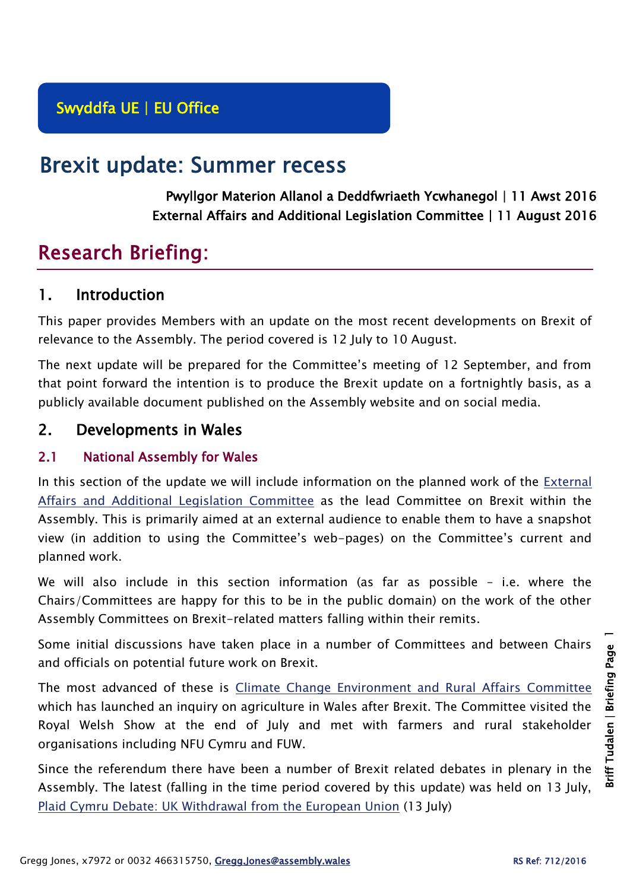# Brexit update: Summer recess

Pwyllgor Materion Allanol a Deddfwriaeth Ycwhanegol | 11 Awst 2016 External Affairs and Additional Legislation Committee | 11 August 2016

# Research Briefing:

# 1. Introduction

This paper provides Members with an update on the most recent developments on Brexit of relevance to the Assembly. The period covered is 12 July to 10 August.

The next update will be prepared for the Committee's meeting of 12 September, and from that point forward the intention is to produce the Brexit update on a fortnightly basis, as a publicly available document published on the Assembly website and on social media.

# 2. Developments in Wales

## 2.1 National Assembly for Wales

In this section of the update we will include information on the planned work of the [External](http://abms/ieListMeetings.aspx?CommitteeId=449)  [Affairs and Additional Legislation Committee](http://abms/ieListMeetings.aspx?CommitteeId=449) as the lead Committee on Brexit within the Assembly. This is primarily aimed at an external audience to enable them to have a snapshot view (in addition to using the Committee's web-pages) on the Committee's current and planned work.

We will also include in this section information (as far as possible – i.e. where the Chairs/Committees are happy for this to be in the public domain) on the work of the other Assembly Committees on Brexit-related matters falling within their remits.

Some initial discussions have taken place in a number of Committees and between Chairs and officials on potential future work on Brexit.

The most advanced of these is [Climate Change Environment and Rural Affairs](http://abms/mgCommitteeDetails.aspx?ID=444) Committee which has launched an inquiry on agriculture in Wales after Brexit. The Committee visited the Royal Welsh Show at the end of July and met with farmers and rural stakeholder organisations including NFU Cymru and FUW.

Since the referendum there have been a number of Brexit related debates in plenary in the Assembly. The latest (falling in the time period covered by this update) was held on 13 July, [Plaid Cymru Debate: UK Withdrawal from the European Union](http://www.assembly.wales/en/bus-home/pages/rop.aspx?meetingid=3617&assembly=5&c=Record%20of%20Proceedings#422112) (13 July)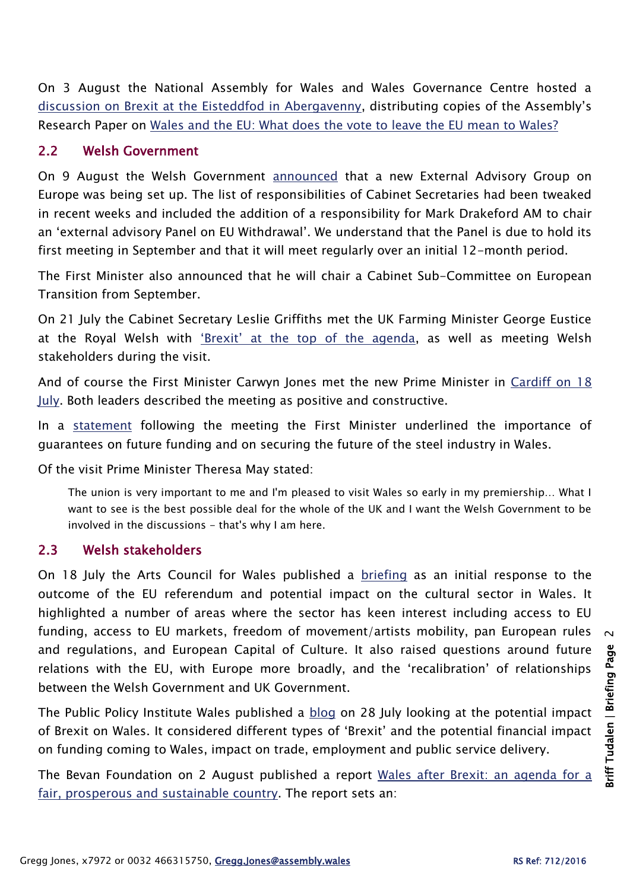On 3 August the National Assembly for Wales and Wales Governance Centre hosted a [discussion on Brexit at the Eisteddfod in Abergavenny](http://sites.cardiff.ac.uk/wgc/2016/08/01/brexit-means-brexit-but-what-does-brexit-mean-for-wales-and-the-uk/), distributing copies of the Assembly's Research Paper on [Wales and the EU: What does the vote to leave the EU mean to Wales?](https://assemblyinbrief.wordpress.com/2016/06/24/eu-referendum-results-in-wales/)

#### 2.2 Welsh Government

On 9 August the Welsh Government [announced](http://gov.wales/newsroom/firstminister/2016/160809eu/?lang=en) that a new External Advisory Group on Europe was being set up. The list of responsibilities of Cabinet Secretaries had been tweaked in recent weeks and included the addition of a responsibility for Mark Drakeford AM to chair an 'external advisory Panel on EU Withdrawal'. We understand that the Panel is due to hold its first meeting in September and that it will meet regularly over an initial 12-month period.

The First Minister also announced that he will chair a Cabinet Sub-Committee on European Transition from September.

On 21 July the Cabinet Secretary Leslie Griffiths met the UK Farming Minister George Eustice at the Royal Welsh with ['Brexit' at the top of the agenda](http://gov.wales/newsroom/environmentandcountryside/2016/160721-brexit-top-of-the-agenda-as-cabinet-secretary-meets-uk-farming-minister/?lang=en), as well as meeting Welsh stakeholders during the visit.

And of course the First Minister Carwyn Jones met the new Prime Minister in [Cardiff on 18](https://www.gov.uk/government/news/pm-to-visit-wales-to-underline-her-strong-personal-support-for-the-union)  [July.](https://www.gov.uk/government/news/pm-to-visit-wales-to-underline-her-strong-personal-support-for-the-union) Both leaders described the meeting as positive and constructive.

In a [statement](http://gov.wales/newsroom/firstminister/2016/160718fmpm/?lang=en) following the meeting the First Minister underlined the importance of guarantees on future funding and on securing the future of the steel industry in Wales.

Of the visit Prime Minister Theresa May stated:

The union is very important to me and I'm pleased to visit Wales so early in my premiership… What I want to see is the best possible deal for the whole of the UK and I want the Welsh Government to be involved in the discussions - that's why I am here.

#### 2.3 Welsh stakeholders

On 18 July the Arts Council for Wales published a [briefing](http://www.arts.wales/102338) as an initial response to the outcome of the EU referendum and potential impact on the cultural sector in Wales. It highlighted a number of areas where the sector has keen interest including access to EU funding, access to EU markets, freedom of movement/artists mobility, pan European rules and regulations, and European Capital of Culture. It also raised questions around future relations with the EU, with Europe more broadly, and the 'recalibration' of relationships between the Welsh Government and UK Government.

The Public Policy Institute Wales published a [blog](http://ppiw.org.uk/what-will-brexit-mean-for-wales/) on 28 July looking at the potential impact of Brexit on Wales. It considered different types of 'Brexit' and the potential financial impact on funding coming to Wales, impact on trade, employment and public service delivery.

The Bevan Foundation on 2 August published a report [Wales after Brexit: an agenda for a](https://www.bevanfoundation.org/publications/wales-brexit-agenda-fair-prosperous-sustainable-country/)  [fair, prosperous and sustainable country.](https://www.bevanfoundation.org/publications/wales-brexit-agenda-fair-prosperous-sustainable-country/) The report sets an: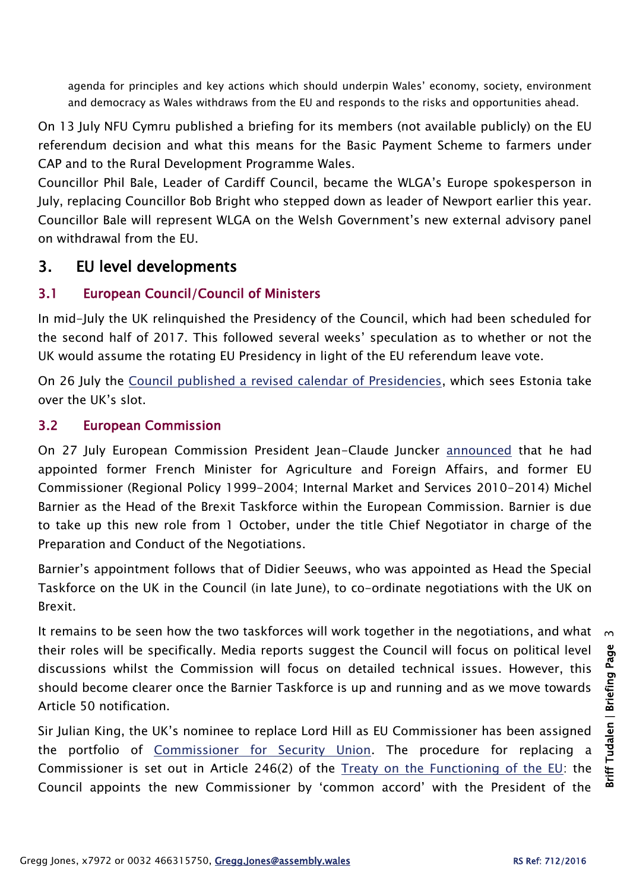agenda for principles and key actions which should underpin Wales' economy, society, environment and democracy as Wales withdraws from the EU and responds to the risks and opportunities ahead.

On 13 July NFU Cymru published a briefing for its members (not available publicly) on the EU referendum decision and what this means for the Basic Payment Scheme to farmers under CAP and to the Rural Development Programme Wales.

Councillor Phil Bale, Leader of Cardiff Council, became the WLGA's Europe spokesperson in July, replacing Councillor Bob Bright who stepped down as leader of Newport earlier this year. Councillor Bale will represent WLGA on the Welsh Government's new external advisory panel on withdrawal from the EU.

# 3. EU level developments

## 3.1 European Council/Council of Ministers

In mid-July the UK relinquished the Presidency of the Council, which had been scheduled for the second half of 2017. This followed several weeks' speculation as to whether or not the UK would assume the rotating EU Presidency in light of the EU referendum leave vote.

On 26 July the [Council published a revised calendar of Presidencies,](http://www.consilium.europa.eu/en/press/press-releases/2016/07/26-council-rotating-presidencies-revised-order/) which sees Estonia take over the UK's slot.

## 3.2 European Commission

On 27 July European Commission President Jean-Claude Juncker [announced](http://europa.eu/rapid/press-release_IP-16-2652_en.htm) that he had appointed former French Minister for Agriculture and Foreign Affairs, and former EU Commissioner (Regional Policy 1999-2004; Internal Market and Services 2010-2014) Michel Barnier as the Head of the Brexit Taskforce within the European Commission. Barnier is due to take up this new role from 1 October, under the title Chief Negotiator in charge of the Preparation and Conduct of the Negotiations.

Barnier's appointment follows that of Didier Seeuws, who was appointed as Head the Special Taskforce on the UK in the Council (in late June), to co-ordinate negotiations with the UK on Brexit.

It remains to be seen how the two taskforces will work together in the negotiations, and what  $\alpha$ their roles will be specifically. Media reports suggest the Council will focus on political level discussions whilst the Commission will focus on detailed technical issues. However, this should become clearer once the Barnier Taskforce is up and running and as we move towards Article 50 notification.

Sir Julian King, the UK's nominee to replace Lord Hill as EU Commissioner has been assigned the portfolio of [Commissioner for Security Union.](http://europa.eu/rapid/press-release_IP-16-2707_en.htm?locale=enhttp://ec.europa.eu/priorities/sites/beta-political/files/king_en.pdf) The procedure for replacing a Commissioner is set out in Article 246(2) of the [Treaty on the Functioning of the EU:](http://eur-lex.europa.eu/legal-content/EN/TXT/?uri=celex%3A12012E%2FTXT) the Council appoints the new Commissioner by 'common accord' with the President of the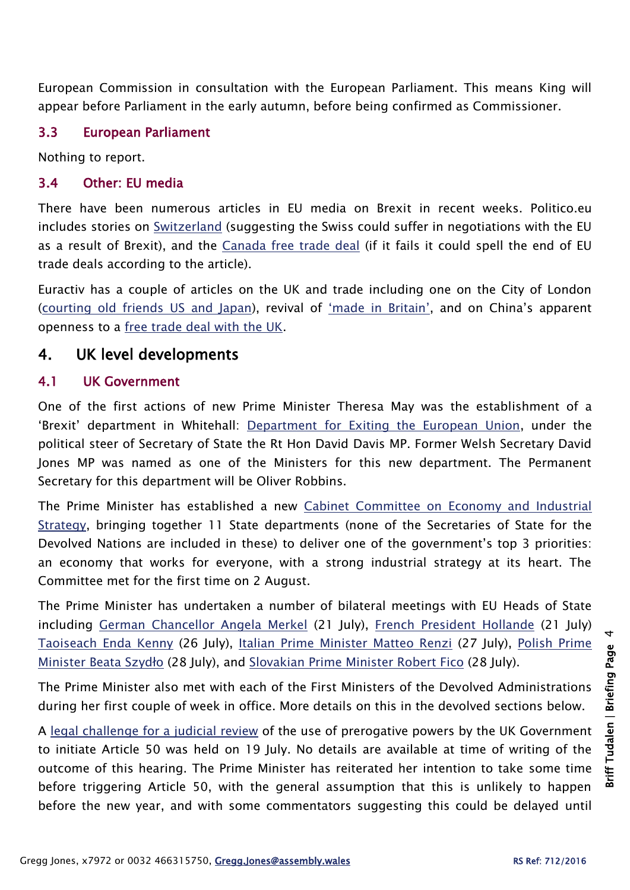European Commission in consultation with the European Parliament. This means King will appear before Parliament in the early autumn, before being confirmed as Commissioner.

#### 3.3 European Parliament

Nothing to report.

## 3.4 Other: EU media

There have been numerous articles in EU media on Brexit in recent weeks. Politico.eu includes stories on [Switzerland](http://www.politico.eu/article/swiss-could-become-brexits-latest-casualty-european-union-migration/) (suggesting the Swiss could suffer in negotiations with the EU as a result of Brexit), and the [Canada free trade deal](http://www.politico.eu/article/eu-trade-policy-close-to-death-if-canada-deal-fails/) (if it fails it could spell the end of EU trade deals according to the article).

Euractiv has a couple of articles on the UK and trade including one on the City of London [\(courting old friends US and Japan\)](http://www.euractiv.com/section/uk-europe/news/uk-city-urges-courting-old-friends-like-us-japan-post-brexit/), revival of ['made in Britain',](http://www.euractiv.com/section/uk-europe/news/prime-minister-may-to-set-course-for-made-in-britain-revival/) and on China's apparent openness to a [free trade deal with the UK.](http://www.euractiv.com/section/trade-society/news/china-ready-to-explore-free-trade-deal-with-britain/)

## 4. UK level developments

#### 4.1 UK Government

One of the first actions of new Prime Minister Theresa May was the establishment of a 'Brexit' department in Whitehall: [Department for Exiting the European Union,](https://www.gov.uk/government/organisations/department-for-exiting-the-european-union) under the political steer of Secretary of State the Rt Hon David Davis MP. Former Welsh Secretary David Jones MP was named as one of the Ministers for this new department. The Permanent Secretary for this department will be Oliver Robbins.

The Prime Minister has established a new [Cabinet Committee on Economy and Industrial](https://www.gov.uk/government/news/new-cabinet-committee-to-tackle-top-government-economic-priority)  [Strategy,](https://www.gov.uk/government/news/new-cabinet-committee-to-tackle-top-government-economic-priority) bringing together 11 State departments (none of the Secretaries of State for the Devolved Nations are included in these) to deliver one of the government's top 3 priorities: an economy that works for everyone, with a strong industrial strategy at its heart. The Committee met for the first time on 2 August.

The Prime Minister has undertaken a number of bilateral meetings with EU Heads of State including [German Chancellor Angela Merkel](https://www.gov.uk/government/news/prime-minister-theresa-mays-statement-in-berlin-20-july-2016) (21 July), [French President Hollande](https://www.gov.uk/government/speeches/pm-statement-in-paris-21-july-2016) (21 July) [Taoiseach Enda Kenny](https://www.gov.uk/government/speeches/pm-statement-following-talks-with-taoiseach-enda-kenny-26-july-2016) (26 July), [Italian Prime Minister Matteo Renzi](https://www.gov.uk/government/speeches/pm-statement-in-rome-27-july-2016) (27 July), [Polish Prime](https://www.gov.uk/government/speeches/pm-press-statement-in-warsaw-28-july-2016)  Minister [Beata Szydło](https://www.gov.uk/government/speeches/pm-press-statement-in-warsaw-28-july-2016) (28 July), and [Slovakian Prime Minister Robert Fico](https://www.gov.uk/government/speeches/pm-statement-after-meeting-slovakian-prime-minister-fico-in-bratislava-28-july-2016) (28 July).

The Prime Minister also met with each of the First Ministers of the Devolved Administrations during her first couple of week in office. More details on this in the devolved sections below.

A [legal challenge for a judicial review](http://www.theguardian.com/politics/2016/jul/08/legal-attempt-prevent-brexit-preliminary-hearing-article-50) of the use of prerogative powers by the UK Government to initiate Article 50 was held on 19 July. No details are available at time of writing of the outcome of this hearing. The Prime Minister has reiterated her intention to take some time before triggering Article 50, with the general assumption that this is unlikely to happen before the new year, and with some commentators suggesting this could be delayed until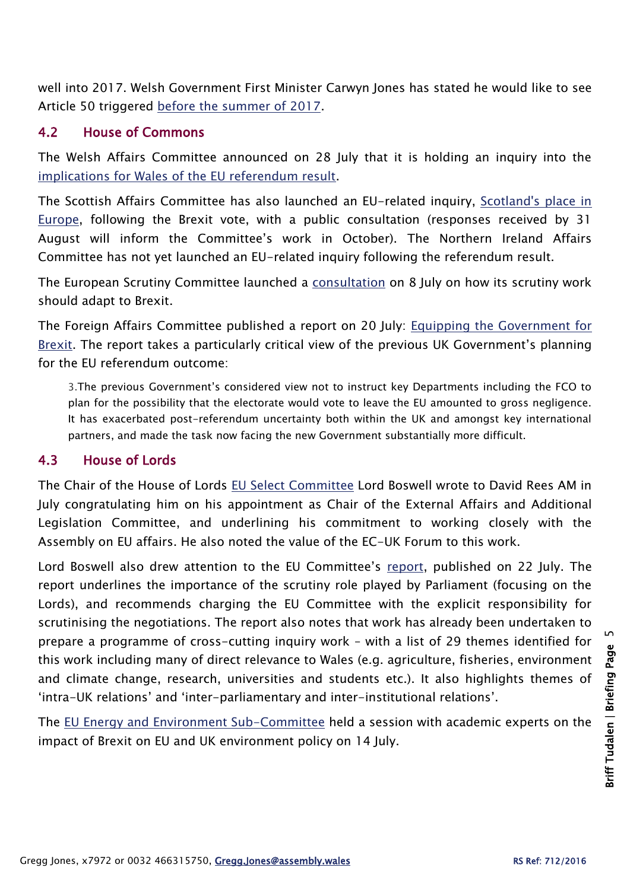well into 2017. Welsh Government First Minister Carwyn Jones has stated he would like to see Article 50 triggered before [the summer of 2017.](http://www.bbc.co.uk/news/uk-wales-politics-36816423)

## 4.2 House of Commons

The Welsh Affairs Committee announced on 28 July that it is holding an inquiry into the [implications for Wales of the EU referendum result.](http://www.parliament.uk/business/committees/committees-a-z/commons-select/welsh-affairs-committee/news-parliament-2015/brexit-wales-launch-16-17/)

The Scottish Affairs Committee has also launched an EU-related inquiry, [Scotland's place in](http://www.parliament.uk/business/committees/committees-a-z/commons-select/scottish-affairs-committee/inquiries/parliament-2015/scotland-place-europe-16-17/)  [Europe,](http://www.parliament.uk/business/committees/committees-a-z/commons-select/scottish-affairs-committee/inquiries/parliament-2015/scotland-place-europe-16-17/) following the Brexit vote, with a public consultation (responses received by 31 August will inform the Committee's work in October). The Northern Ireland Affairs Committee has not yet launched an EU-related inquiry following the referendum result.

The European Scrutiny Committee launched a [consultation](http://www.parliament.uk/business/committees/committees-a-z/commons-select/european-scrutiny-committee/news-parliament-20151/scrutiny-consultation-launch-16-17/) on 8 July on how its scrutiny work should adapt to Brexit.

The Foreign Affairs Committee published a report on 20 July: [Equipping the Government for](http://www.publications.parliament.uk/pa/cm201617/cmselect/cmfaff/431/43102.htm)  [Brexit.](http://www.publications.parliament.uk/pa/cm201617/cmselect/cmfaff/431/43102.htm) The report takes a particularly critical view of the previous UK Government's planning for the EU referendum outcome:

3.The previous Government's considered view not to instruct key Departments including the FCO to plan for the possibility that the electorate would vote to leave the EU amounted to gross negligence. It has exacerbated post-referendum uncertainty both within the UK and amongst key international partners, and made the task now facing the new Government substantially more difficult.

## 4.3 House of Lords

The Chair of the House of Lords [EU Select Committee](http://www.parliament.uk/business/committees/committees-a-z/lords-select/eu-select-committee-/) Lord Boswell wrote to David Rees AM in July congratulating him on his appointment as Chair of the External Affairs and Additional Legislation Committee, and underlining his commitment to working closely with the Assembly on EU affairs. He also noted the value of the EC-UK Forum to this work.

Lord Boswell also drew attention to the EU Committee's [report,](http://www.publications.parliament.uk/pa/ld201617/ldselect/ldeucom/33/3302.htm) published on 22 July. The report underlines the importance of the scrutiny role played by Parliament (focusing on the Lords), and recommends charging the EU Committee with the explicit responsibility for scrutinising the negotiations. The report also notes that work has already been undertaken to prepare a programme of cross-cutting inquiry work – with a list of 29 themes identified for this work including many of direct relevance to Wales (e.g. agriculture, fisheries, environment and climate change, research, universities and students etc.). It also highlights themes of 'intra-UK relations' and 'inter-parliamentary and inter-institutional relations'.

The EU Energy [and Environment Sub-Committee](http://www.parliament.uk/business/committees/committees-a-z/lords-select/eu-energy-environment-subcommittee/news-parliament-2015/brexit-environment-policy/) held a session with academic experts on the impact of Brexit on EU and UK environment policy on 14 July.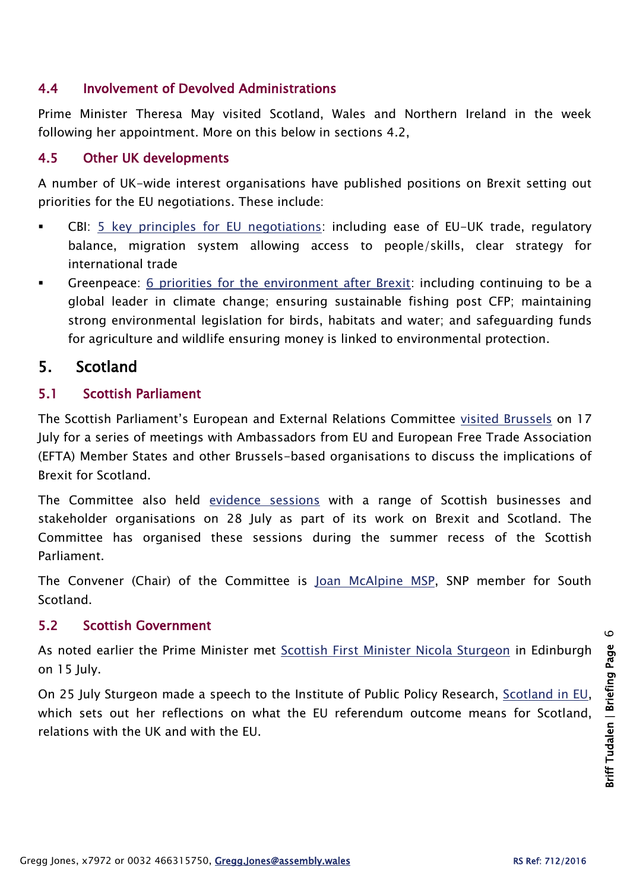## 4.4 Involvement of Devolved Administrations

Prime Minister Theresa May visited Scotland, Wales and Northern Ireland in the week following her appointment. More on this below in sections 4.2,

#### 4.5 Other UK developments

A number of UK-wide interest organisations have published positions on Brexit setting out priorities for the EU negotiations. These include:

- CBI: [5 key principles for EU negotiations:](http://news.cbi.org.uk/news/5-key-principles-for-eu-negotiations/) including ease of EU-UK trade, regulatory balance, migration system allowing access to people/skills, clear strategy for international trade
- Greenpeace: [6 priorities for the environment after Brexit:](http://www.greenpeace.org.uk/blog/other/6-priorities-environment-after-brexit) including continuing to be a global leader in climate change; ensuring sustainable fishing post CFP; maintaining strong environmental legislation for birds, habitats and water; and safeguarding funds for agriculture and wildlife ensuring money is linked to environmental protection.

## 5. Scotland

#### 5.1 Scottish Parliament

The Scottish Parliament's European and External Relations Committee [visited Brussels](http://www.parliament.scot/newsandmediacentre/European-Committee-in-Brussels.aspx) on 17 July for a series of meetings with Ambassadors from EU and European Free Trade Association (EFTA) Member States and other Brussels-based organisations to discuss the implications of Brexit for Scotland.

The Committee also held [evidence sessions](http://www.parliament.scot/newsandmediacentre/100414.aspx) with a range of Scottish businesses and stakeholder organisations on 28 July as part of its work on Brexit and Scotland. The Committee has organised these sessions during the summer recess of the Scottish Parliament.

The Convener (Chair) of the Committee is [Joan McAlpine MSP,](http://www.parliament.scot/msps/currentmsps/joan-mcalpine-msp.aspx) SNP member for South **Scotland** 

#### 5.2 Scottish Government

As noted earlier the Prime Minister met [Scottish First Minister Nicola Sturgeon](https://firstminister.gov.scot/fm-meets-new-pm/) in Edinburgh on 15 July.

On 25 July Sturgeon made a speech to the Institute of Public Policy Research, [Scotland in EU,](http://news.scotland.gov.uk/Speeches-Briefings/Scotland-in-EU-2772.aspx) which sets out her reflections on what the EU referendum outcome means for Scotland, relations with the UK and with the EU.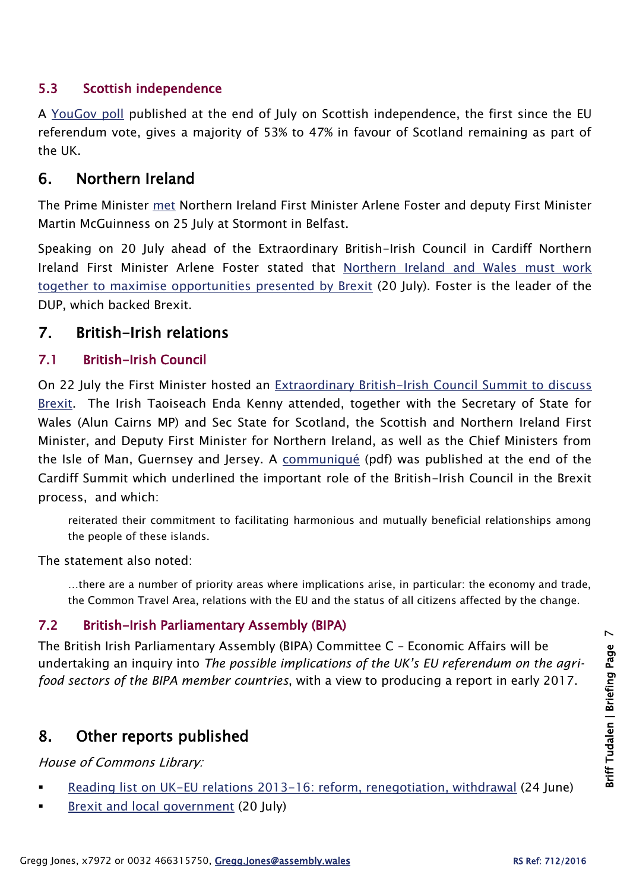## 5.3 Scottish independence

A [YouGov poll](https://yougov.co.uk/news/2016/07/30/brexit-fails-boost-support-scottish-independence/) published at the end of July on Scottish independence, the first since the EU referendum vote, gives a majority of 53% to 47% in favour of Scotland remaining as part of the UK.

# 6. Northern Ireland

The Prime Minister [met](https://www.gov.uk/government/news/pm-to-visit-northern-ireland-25-july-2016) Northern Ireland First Minister Arlene Foster and deputy First Minister Martin McGuinness on 25 July at Stormont in Belfast.

Speaking on 20 July ahead of the Extraordinary British-Irish Council in Cardiff Northern Ireland First Minister Arlene Foster stated that [Northern Ireland and Wales must work](https://www.daera-ni.gov.uk/news/northern-ireland-and-wales-must-work-together-maximise-opportunities-presented-by-brexit-mcilveen)  [together to maximise opportunities presented by Brexit](https://www.daera-ni.gov.uk/news/northern-ireland-and-wales-must-work-together-maximise-opportunities-presented-by-brexit-mcilveen) (20 July). Foster is the leader of the DUP, which backed Brexit.

## 7. British-Irish relations

## 7.1 British-Irish Council

On 22 July the First Minister hosted an [Extraordinary British-Irish Council Summit to discuss](http://gov.wales/newsroom/firstminister/2016/160722bic/?lang=en)  [Brexit.](http://gov.wales/newsroom/firstminister/2016/160722bic/?lang=en) The Irish Taoiseach Enda Kenny attended, together with the Secretary of State for Wales (Alun Cairns MP) and Sec State for Scotland, the Scottish and Northern Ireland First Minister, and Deputy First Minister for Northern Ireland, as well as the Chief Ministers from the Isle of Man, Guernsey and Jersey. A [communiqué](https://www.britishirishcouncil.org/sites/default/files/communiqu%C3%A9s/Cardiff%20Communique%20FINAL.pdf) (pdf) was published at the end of the Cardiff Summit which underlined the important role of the British-Irish Council in the Brexit process, and which:

reiterated their commitment to facilitating harmonious and mutually beneficial relationships among the people of these islands.

The statement also noted:

…there are a number of priority areas where implications arise, in particular: the economy and trade, the Common Travel Area, relations with the EU and the status of all citizens affected by the change.

## 7.2 British-Irish Parliamentary Assembly (BIPA)

The British Irish Parliamentary Assembly (BIPA) Committee C – Economic Affairs will be undertaking an inquiry into *The possible implications of the UK's EU referendum on the agrifood sectors of the BIPA member countries*, with a view to producing a report in early 2017.

# 8. Other reports published

House of Commons Library:

- [Reading list on UK-EU relations 2013-16: reform, renegotiation, withdrawal](http://researchbriefings.parliament.uk/ResearchBriefing/Summary/CBP-7220) (24 June)
- **[Brexit and local government](http://researchbriefings.parliament.uk/ResearchBriefing/Summary/CBP-7664) (20 July)**

 $\overline{C}$